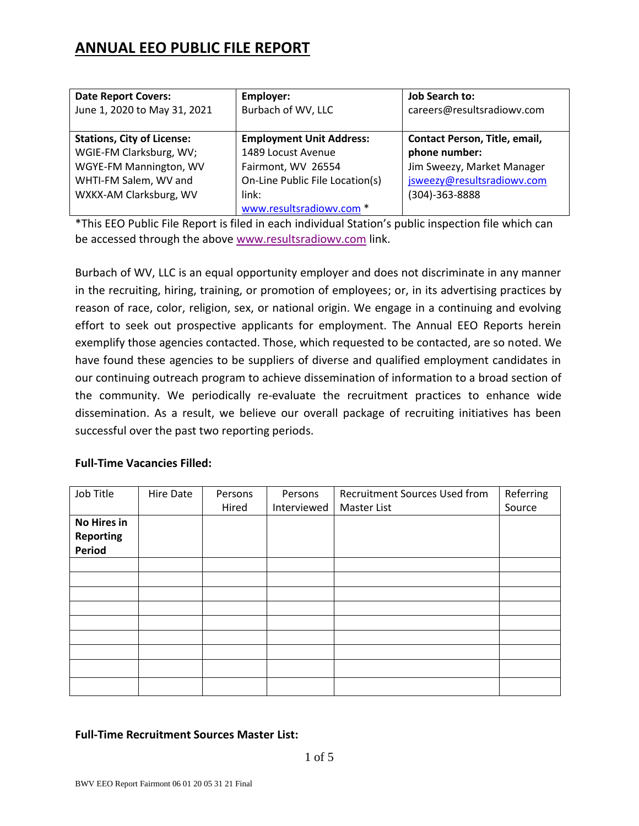# **ANNUAL EEO PUBLIC FILE REPORT**

| <b>Date Report Covers:</b>        | Employer:                       | <b>Job Search to:</b>         |
|-----------------------------------|---------------------------------|-------------------------------|
| June 1, 2020 to May 31, 2021      | Burbach of WV, LLC              | careers@resultsradiowv.com    |
|                                   |                                 |                               |
| <b>Stations, City of License:</b> | <b>Employment Unit Address:</b> | Contact Person, Title, email, |
| WGIE-FM Clarksburg, WV;           | 1489 Locust Avenue              | phone number:                 |
| WGYE-FM Mannington, WV            | Fairmont, WV 26554              | Jim Sweezy, Market Manager    |
| WHTI-FM Salem, WV and             | On-Line Public File Location(s) | jsweezy@resultsradiowv.com    |
| WXKX-AM Clarksburg, WV            | link:                           | (304)-363-8888                |
|                                   | www.resultsradiowv.com *        |                               |

\*This EEO Public File Report is filed in each individual Station's public inspection file which can be accessed through the above www.resultsradiowy.com link.

Burbach of WV, LLC is an equal opportunity employer and does not discriminate in any manner in the recruiting, hiring, training, or promotion of employees; or, in its advertising practices by reason of race, color, religion, sex, or national origin. We engage in a continuing and evolving effort to seek out prospective applicants for employment. The Annual EEO Reports herein exemplify those agencies contacted. Those, which requested to be contacted, are so noted. We have found these agencies to be suppliers of diverse and qualified employment candidates in our continuing outreach program to achieve dissemination of information to a broad section of the community. We periodically re‐evaluate the recruitment practices to enhance wide dissemination. As a result, we believe our overall package of recruiting initiatives has been successful over the past two reporting periods.

#### **Full-Time Vacancies Filled:**

| Job Title          | Hire Date | Persons | Persons     | <b>Recruitment Sources Used from</b> | Referring |
|--------------------|-----------|---------|-------------|--------------------------------------|-----------|
|                    |           | Hired   | Interviewed | Master List                          | Source    |
| <b>No Hires in</b> |           |         |             |                                      |           |
| <b>Reporting</b>   |           |         |             |                                      |           |
| Period             |           |         |             |                                      |           |
|                    |           |         |             |                                      |           |
|                    |           |         |             |                                      |           |
|                    |           |         |             |                                      |           |
|                    |           |         |             |                                      |           |
|                    |           |         |             |                                      |           |
|                    |           |         |             |                                      |           |
|                    |           |         |             |                                      |           |
|                    |           |         |             |                                      |           |
|                    |           |         |             |                                      |           |

## **Full-Time Recruitment Sources Master List:**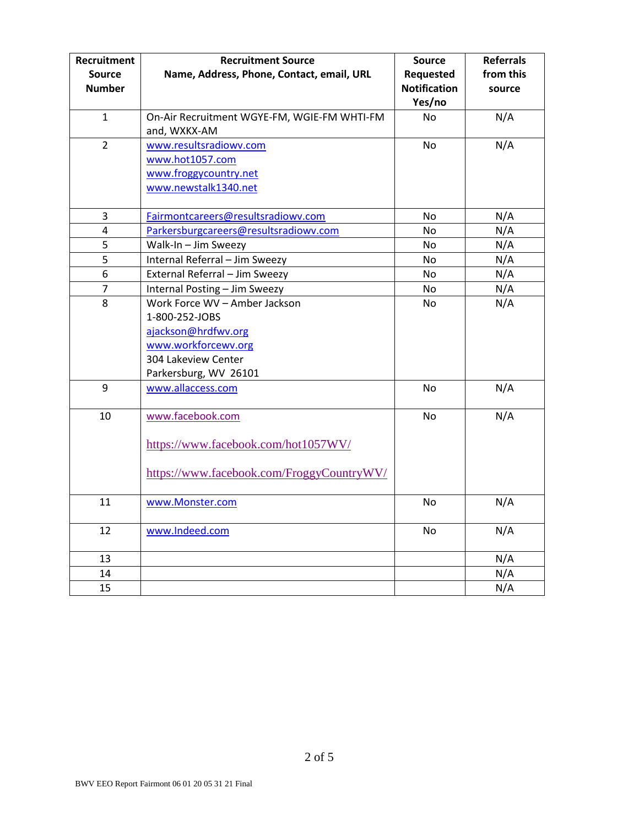| Recruitment<br><b>Source</b><br><b>Number</b> | <b>Recruitment Source</b><br>Name, Address, Phone, Contact, email, URL                                                                        | <b>Source</b><br>Requested<br><b>Notification</b><br>Yes/no | <b>Referrals</b><br>from this<br>source |
|-----------------------------------------------|-----------------------------------------------------------------------------------------------------------------------------------------------|-------------------------------------------------------------|-----------------------------------------|
| $\mathbf{1}$                                  | On-Air Recruitment WGYE-FM, WGIE-FM WHTI-FM<br>and, WXKX-AM                                                                                   | No                                                          | N/A                                     |
| $\overline{2}$                                | www.resultsradiowv.com<br>www.hot1057.com<br>www.froggycountry.net<br>www.newstalk1340.net                                                    | <b>No</b>                                                   | N/A                                     |
| 3                                             | Fairmontcareers@resultsradiowv.com                                                                                                            | No                                                          | N/A                                     |
| $\overline{a}$                                | Parkersburgcareers@resultsradiowv.com                                                                                                         | No                                                          | N/A                                     |
| 5                                             | Walk-In - Jim Sweezy                                                                                                                          | No                                                          | N/A                                     |
| 5                                             | Internal Referral - Jim Sweezy                                                                                                                | No                                                          | N/A                                     |
| 6                                             | External Referral - Jim Sweezy                                                                                                                | No.                                                         | N/A                                     |
| $\overline{7}$                                | Internal Posting - Jim Sweezy                                                                                                                 | No                                                          | N/A                                     |
| 8                                             | Work Force WV - Amber Jackson<br>1-800-252-JOBS<br>ajackson@hrdfwv.org<br>www.workforcewv.org<br>304 Lakeview Center<br>Parkersburg, WV 26101 | No                                                          | N/A                                     |
| 9                                             | www.allaccess.com                                                                                                                             | No                                                          | N/A                                     |
| $10\,$                                        | www.facebook.com<br>https://www.facebook.com/hot1057WV/<br>https://www.facebook.com/FroggyCountryWV/                                          | <b>No</b>                                                   | N/A                                     |
| 11                                            | www.Monster.com                                                                                                                               | No                                                          | N/A                                     |
| 12                                            | www.Indeed.com                                                                                                                                | No                                                          | N/A                                     |
| 13                                            |                                                                                                                                               |                                                             | N/A                                     |
| 14                                            |                                                                                                                                               |                                                             | N/A                                     |
| 15                                            |                                                                                                                                               |                                                             | N/A                                     |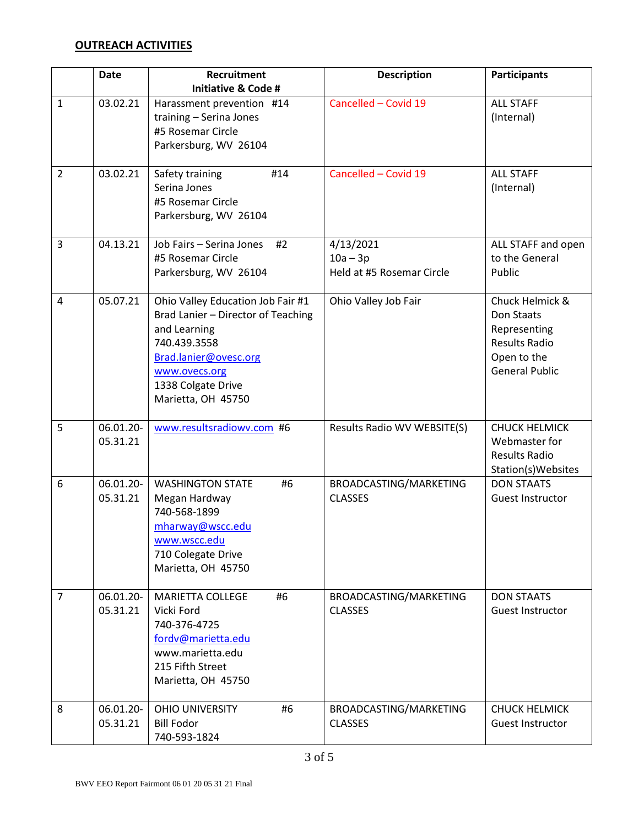### **OUTREACH ACTIVITIES**

|                | Date                  | Recruitment                                          | <b>Description</b>          | <b>Participants</b>                   |
|----------------|-----------------------|------------------------------------------------------|-----------------------------|---------------------------------------|
| $\mathbf{1}$   | 03.02.21              | <b>Initiative &amp; Code #</b>                       | Cancelled - Covid 19        | <b>ALL STAFF</b>                      |
|                |                       | Harassment prevention #14<br>training - Serina Jones |                             | (Internal)                            |
|                |                       | #5 Rosemar Circle                                    |                             |                                       |
|                |                       | Parkersburg, WV 26104                                |                             |                                       |
|                |                       |                                                      |                             |                                       |
| $\overline{2}$ | 03.02.21              | #14<br>Safety training                               | Cancelled - Covid 19        | <b>ALL STAFF</b>                      |
|                |                       | Serina Jones<br>#5 Rosemar Circle                    |                             | (Internal)                            |
|                |                       | Parkersburg, WV 26104                                |                             |                                       |
|                |                       |                                                      |                             |                                       |
| 3              | 04.13.21              | Job Fairs - Serina Jones<br>#2                       | 4/13/2021                   | ALL STAFF and open                    |
|                |                       | #5 Rosemar Circle                                    | $10a - 3p$                  | to the General                        |
|                |                       | Parkersburg, WV 26104                                | Held at #5 Rosemar Circle   | Public                                |
| 4              | 05.07.21              | Ohio Valley Education Job Fair #1                    | Ohio Valley Job Fair        | Chuck Helmick &                       |
|                |                       | Brad Lanier - Director of Teaching                   |                             | Don Staats                            |
|                |                       | and Learning                                         |                             | Representing                          |
|                |                       | 740.439.3558                                         |                             | <b>Results Radio</b>                  |
|                |                       | Brad.lanier@ovesc.org<br>www.ovecs.org               |                             | Open to the<br><b>General Public</b>  |
|                |                       | 1338 Colgate Drive                                   |                             |                                       |
|                |                       | Marietta, OH 45750                                   |                             |                                       |
|                |                       |                                                      |                             |                                       |
| 5              | 06.01.20-<br>05.31.21 | www.resultsradiowv.com #6                            | Results Radio WV WEBSITE(S) | <b>CHUCK HELMICK</b><br>Webmaster for |
|                |                       |                                                      |                             | <b>Results Radio</b>                  |
|                |                       |                                                      |                             | Station(s)Websites                    |
| 6              | 06.01.20-             | #6<br><b>WASHINGTON STATE</b>                        | BROADCASTING/MARKETING      | <b>DON STAATS</b>                     |
|                | 05.31.21              | Megan Hardway                                        | <b>CLASSES</b>              | Guest Instructor                      |
|                |                       | 740-568-1899                                         |                             |                                       |
|                |                       | mharway@wscc.edu<br>www.wscc.edu                     |                             |                                       |
|                |                       | 710 Colegate Drive                                   |                             |                                       |
|                |                       | Marietta, OH 45750                                   |                             |                                       |
|                |                       |                                                      |                             |                                       |
| $\overline{7}$ | 06.01.20-<br>05.31.21 | <b>MARIETTA COLLEGE</b><br>#6                        | BROADCASTING/MARKETING      | <b>DON STAATS</b>                     |
|                |                       | Vicki Ford<br>740-376-4725                           | <b>CLASSES</b>              | <b>Guest Instructor</b>               |
|                |                       | fordv@marietta.edu                                   |                             |                                       |
|                |                       | www.marietta.edu                                     |                             |                                       |
|                |                       | 215 Fifth Street                                     |                             |                                       |
|                |                       | Marietta, OH 45750                                   |                             |                                       |
| 8              | 06.01.20-             | <b>OHIO UNIVERSITY</b><br>#6                         | BROADCASTING/MARKETING      | <b>CHUCK HELMICK</b>                  |
|                | 05.31.21              | <b>Bill Fodor</b>                                    | <b>CLASSES</b>              | Guest Instructor                      |
|                |                       | 740-593-1824                                         |                             |                                       |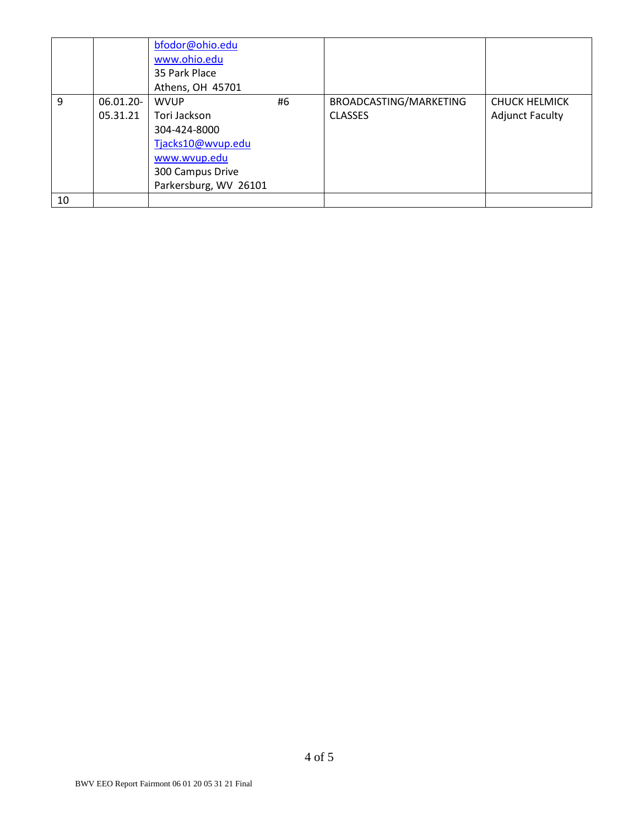|    |                       | bfodor@ohio.edu<br>www.ohio.edu<br>35 Park Place<br>Athens, OH 45701                                                          |    |                                          |                                                |
|----|-----------------------|-------------------------------------------------------------------------------------------------------------------------------|----|------------------------------------------|------------------------------------------------|
| 9  | 06.01.20-<br>05.31.21 | <b>WVUP</b><br>Tori Jackson<br>304-424-8000<br>Tjacks10@wvup.edu<br>www.wvup.edu<br>300 Campus Drive<br>Parkersburg, WV 26101 | #6 | BROADCASTING/MARKETING<br><b>CLASSES</b> | <b>CHUCK HELMICK</b><br><b>Adjunct Faculty</b> |
| 10 |                       |                                                                                                                               |    |                                          |                                                |